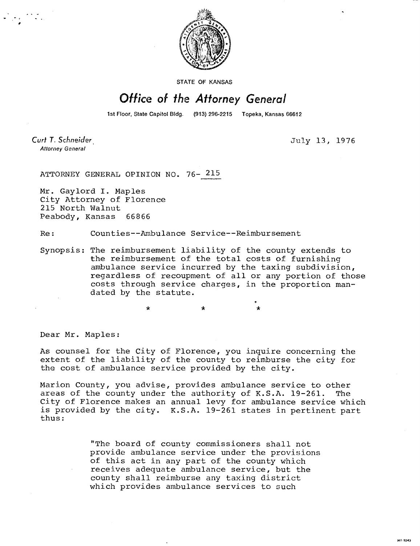

STATE OF KANSAS

## **Office of the Attorney General**

1st Floor, State Capitol Bldg. (913) 296-2215 Topeka, Kansas 66612

•

**Curt T. Schneider Attorney General** 

July 13, 1976

ATTORNEY GENERAL OPINION NO. 76- 215

Mr. Gaylord I. Maples City Attorney of Florence 215 North Walnut Peabody, Kansas 66866

Re: Counties--Ambulance Service--Reimbursement

Synopsis: The reimbursement liability of the county extends to the reimbursement of the total costs of furnishing ambulance service incurred by the taxing subdivision, regardless of recoupment of all or any portion of those costs through service charges, in the proportion mandated by the statute.

Dear Mr. Maples:

As counsel for the City of Florence, you inquire concerning the extent of the liability of the county to reimburse the city for the cost of ambulance service provided by the city.

Marion County, you advise, provides ambulance service to other areas of the county under the authority of K.S.A. 19-261. The City of Florence makes an annual levy for ambulance service which is provided by the city. K.S.A. 19-261 states in pertinent part thus:

> "The board of county commissioners shall not provide ambulance service under the provisions of this act in any part of the county which receives adequate ambulance service, but the county shall reimburse any taxing district which provides ambulance services to such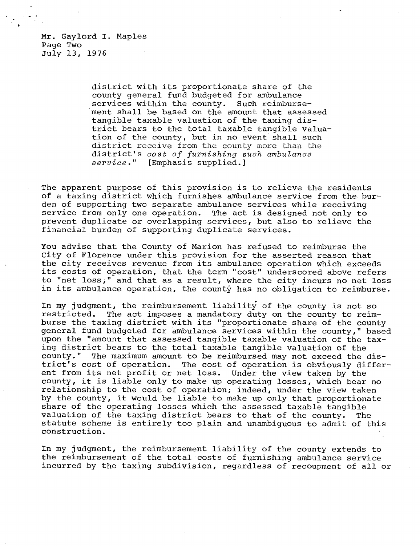Mr. Gaylord I. Maples Page Two July 13, 1976

> district with its proportionate share of the county general fund budgeted for ambulance services within the county. Such reimbursement shall be based on the amount that assessed tangible taxable valuation of the taxing district bears to the total taxable tangible valuation of the county, but in no event shall such district receive from the county more than the district's cost of furnishing such ambulance service." [Emphasis supplied.]

The apparent purpose of this provision is to relieve the residents of a taxing district which furnishes ambulance service from the burden of supporting two separate ambulance services while receiving service from only one operation. The act is designed not only to prevent duplicate or overlapping services, but also to relieve the financial burden of supporting duplicate services.

You advise that the County of Marion has refused to reimburse the City of Florence under this provision for the asserted reason that the city receives revenue from its ambulance operation which exceeds its costs of operation, that the term "cost" underscored above refers to "net loss," and that as a result, where the city incurs no net loss in its ambulance operation, the county has no obligation to reimburse.

In my judgment, the reimbursement liability of the county is not so restricted. The act imposes a mandatory duty on the county to reimburse the taxing district with its "proportionate share of the county general fund budgeted for ambulance services within the county," based upon the "amount that assessed tangible taxable valuation of the taxing district bears to the total taxable tangible valuation of the county." The maximum amount to be reimbursed may not exceed the district's cost of operation. The cost of operation is obviously different from its net profit or net loss. Under the view taken by the county, it is liable only to make up operating losses, which bear no relationship to the cost of operation; indeed, under the view taken by the county, it would be liable to make up only that proportionate share of the operating losses which the assessed taxable tangible valuation of the taxing district bears to that of the county. The statute scheme is entirely too plain and unambiguous to admit of this construction.

In my judgment, the reimbursement liability of the county extends to the reimbursement of the total costs of furnishing ambulance service incurred by the taxing subdivision, regardless of recoupment of all or